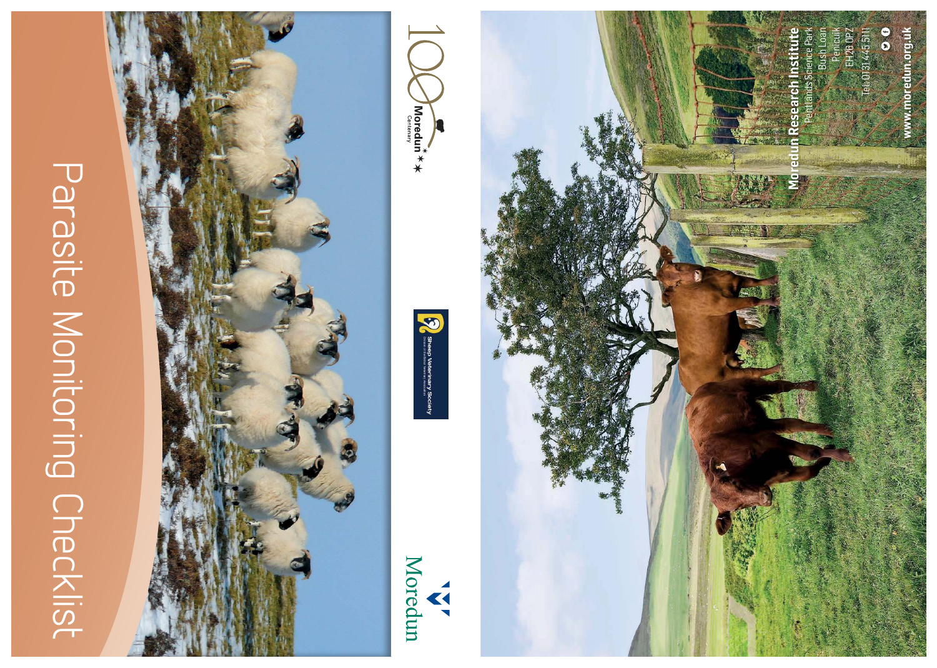## Parasite Monitoring Checklist



Moredun A